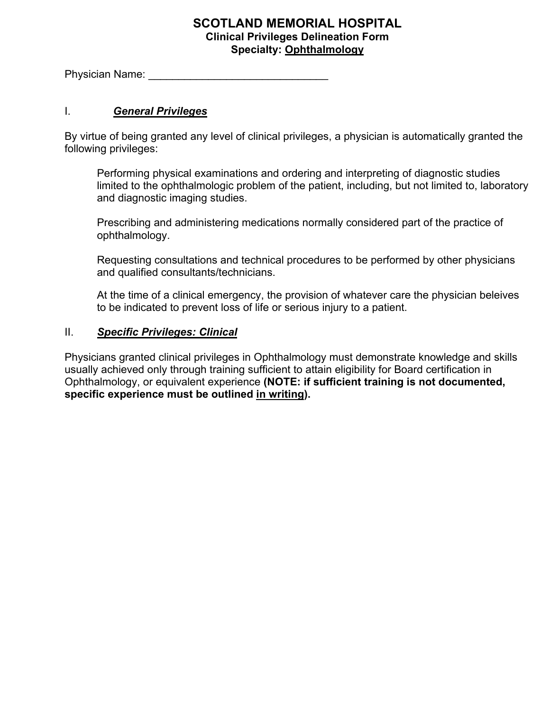## **SCOTLAND MEMORIAL HOSPITAL Clinical Privileges Delineation Form Specialty: Ophthalmology**

Physician Name:  $\blacksquare$ 

## I. *General Privileges*

By virtue of being granted any level of clinical privileges, a physician is automatically granted the following privileges:

Performing physical examinations and ordering and interpreting of diagnostic studies limited to the ophthalmologic problem of the patient, including, but not limited to, laboratory and diagnostic imaging studies.

Prescribing and administering medications normally considered part of the practice of ophthalmology.

Requesting consultations and technical procedures to be performed by other physicians and qualified consultants/technicians.

At the time of a clinical emergency, the provision of whatever care the physician beleives to be indicated to prevent loss of life or serious injury to a patient.

## II. *Specific Privileges: Clinical*

Physicians granted clinical privileges in Ophthalmology must demonstrate knowledge and skills usually achieved only through training sufficient to attain eligibility for Board certification in Ophthalmology, or equivalent experience **(NOTE: if sufficient training is not documented, specific experience must be outlined in writing).**